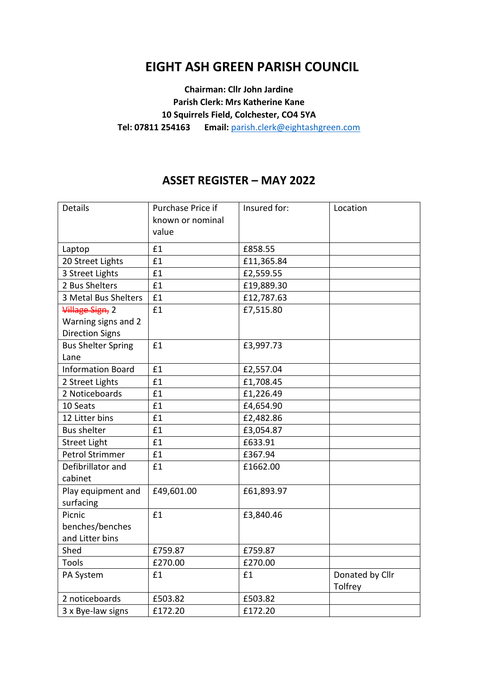## **EIGHT ASH GREEN PARISH COUNCIL**

## **Chairman: Cllr John Jardine Parish Clerk: Mrs Katherine Kane 10 Squirrels Field, Colchester, CO4 5YA Tel: 07811 254163 Email:** [parish.clerk@eightashgreen.com](mailto:parish.clerk@eightashgreen.com)

## **ASSET REGISTER – MAY 2022**

| Details                                                          | Purchase Price if<br>known or nominal<br>value | Insured for: | Location                   |
|------------------------------------------------------------------|------------------------------------------------|--------------|----------------------------|
| Laptop                                                           | £1                                             | £858.55      |                            |
| 20 Street Lights                                                 | £1                                             | £11,365.84   |                            |
| 3 Street Lights                                                  | £1                                             | £2,559.55    |                            |
| 2 Bus Shelters                                                   | £1                                             | £19,889.30   |                            |
| 3 Metal Bus Shelters                                             | £1                                             | £12,787.63   |                            |
| Village Sign, 2<br>Warning signs and 2<br><b>Direction Signs</b> | £1                                             | £7,515.80    |                            |
| <b>Bus Shelter Spring</b><br>Lane                                | £1                                             | £3,997.73    |                            |
| <b>Information Board</b>                                         | £1                                             | £2,557.04    |                            |
| 2 Street Lights                                                  | £1                                             | £1,708.45    |                            |
| 2 Noticeboards                                                   | £1                                             | £1,226.49    |                            |
| 10 Seats                                                         | £1                                             | £4,654.90    |                            |
| 12 Litter bins                                                   | £1                                             | £2,482.86    |                            |
| <b>Bus shelter</b>                                               | £1                                             | £3,054.87    |                            |
| <b>Street Light</b>                                              | £1                                             | £633.91      |                            |
| <b>Petrol Strimmer</b>                                           | £1                                             | £367.94      |                            |
| Defibrillator and<br>cabinet                                     | £1                                             | £1662.00     |                            |
| Play equipment and<br>surfacing                                  | £49,601.00                                     | £61,893.97   |                            |
| Picnic<br>benches/benches<br>and Litter bins                     | £1                                             | £3,840.46    |                            |
| Shed                                                             | £759.87                                        | £759.87      |                            |
| Tools                                                            | £270.00                                        | £270.00      |                            |
| PA System                                                        | £1                                             | £1           | Donated by Cllr<br>Tolfrey |
| 2 noticeboards                                                   | £503.82                                        | £503.82      |                            |
| 3 x Bye-law signs                                                | £172.20                                        | £172.20      |                            |